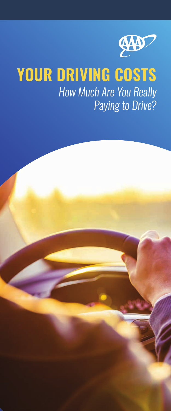

# **YOUR DRIVING COSTS** *How Much Are You Really Paying to Drive?*

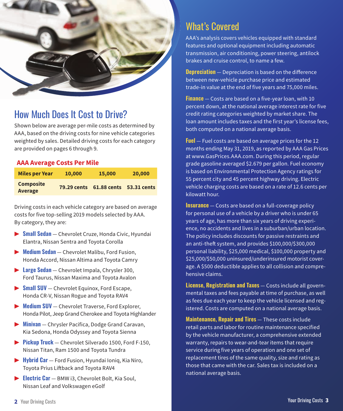

## How Much Does It Cost to Drive?

Shown below are average per-mile costs as determined by AAA, based on the driving costs for nine vehicle categories weighted by sales. Detailed driving costs for each category are provided on pages 6 through 9.

#### **AAA Average Costs Per Mile**

| <b>Miles per Year</b>       | 10,000             | 15,000                  | 20,000 |
|-----------------------------|--------------------|-------------------------|--------|
| <b>Composite</b><br>Average | <b>79.29 cents</b> | 61.88 cents 53.31 cents |        |

Driving costs in each vehicle category are based on average costs for five top-selling 2019 models selected by AAA. By category, they are:

- ▶ **Small Sedan** Chevrolet Cruze, Honda Civic, Hyundai Elantra, Nissan Sentra and Toyota Corolla
- ▶ **Medium Sedan** Chevrolet Malibu, Ford Fusion, Honda Accord, Nissan Altima and Toyota Camry
- ▶ **Large Sedan** Chevrolet Impala, Chrysler 300, Ford Taurus, Nissan Maxima and Toyota Avalon
- ▶ **Small SUV** Chevrolet Equinox, Ford Escape, Honda CR-V, Nissan Rogue and Toyota RAV4
- ▶ **Medium SUV** Chevrolet Traverse, Ford Explorer, Honda Pilot, Jeep Grand Cherokee and Toyota Highlander
- ▶ **Minivan** Chrysler Pacifica, Dodge Grand Caravan, Kia Sedona, Honda Odyssey and Toyota Sienna
- ▶ **Pickup Truck** Chevrolet Silverado 1500, Ford F-150, Nissan Titan, Ram 1500 and Toyota Tundra
- ▶ **Hybrid Car** Ford Fusion, Hyundai Ioniq, Kia Niro, Toyota Prius Liftback and Toyota RAV4
- ▶ **Electric Car** BMW i3, Chevrolet Bolt, Kia Soul, Nissan Leaf and Volkswagen eGolf

### What's Covered

AAA's analysis covers vehicles equipped with standard features and optional equipment including automatic transmission, air conditioning, power steering, antilock brakes and cruise control, to name a few.

**Depreciation** – Depreciation is based on the difference between new-vehicle purchase price and estimated trade-in value at the end of five years and 75,000 miles.

**Finance** — Costs are based on a five-year loan, with 10 percent down, at the national average interest rate for five credit rating categories weighted by market share. The loan amount includes taxes and the first year's license fees, both computed on a national average basis.

**Fuel** — Fuel costs are based on average prices for the 12 months ending May 31, 2019, as reported by AAA Gas Prices at www.GasPrices.AAA.com. During this period, regular grade gasoline averaged \$2.679 per gallon. Fuel economy is based on Environmental Protection Agency ratings for 55 percent city and 45 percent highway driving. Electric vehicle charging costs are based on a rate of 12.6 cents per kilowatt hour.

**Insurance** — Costs are based on a full-coverage policy for personal use of a vehicle by a driver who is under 65 years of age, has more than six years of driving experience, no accidents and lives in a suburban/urban location. The policy includes discounts for passive restraints and an anti-theft system, and provides \$100,000/\$300,000 personal liability, \$25,000 medical, \$100,000 property and \$25,000/\$50,000 uninsured/underinsured motorist coverage. A \$500 deductible applies to all collision and comprehensive claims.

**License, Registration and Taxes** — Costs include all governmental taxes and fees payable at time of purchase, as well as fees due each year to keep the vehicle licensed and registered. Costs are computed on a national average basis.

**Maintenance, Repair and Tires** — These costs include retail parts and labor for routine maintenance specified by the vehicle manufacturer, a comprehensive extended warranty, repairs to wear-and-tear items that require service during five years of operation and one set of replacement tires of the same quality, size and rating as those that came with the car. Sales tax is included on a national average basis.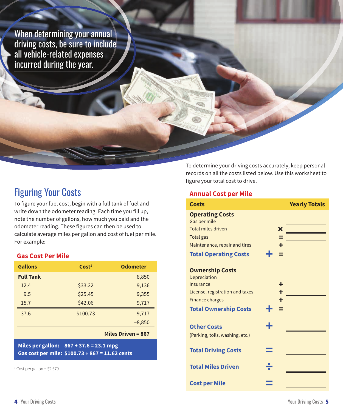When determining your annual driving costs, be sure to include all vehicle-related expenses incurred during the year.

### Figuring Your Costs

To figure your fuel cost, begin with a full tank of fuel and write down the odometer reading. Each time you fill up, note the number of gallons, how much you paid and the odometer reading. These figures can then be used to calculate average miles per gallon and cost of fuel per mile. For example:

#### **Gas Cost Per Mile**

| <b>Gallons</b>   | Cost <sup>1</sup> | <b>Odometer</b> |
|------------------|-------------------|-----------------|
| <b>Full Tank</b> |                   | 8,850           |
| 12.4             | \$33.22           | 9,136           |
| 9.5              | \$25.45           | 9,355           |
| 15.7             | \$42.06           | 9,717           |
| 37.6             | \$100.73          | 9,717           |
|                  |                   | $-8,850$        |

#### **Miles Driven = 867**

**Miles per gallon: 867 ÷ 37.6 = 23.1 mpg Gas cost per mile: \$100.73 ÷ 867 = 11.62 cents**

1 Cost per gallon = \$2.679

To determine your driving costs accurately, keep personal records on all the costs listed below. Use this worksheet to figure your total cost to drive.

#### **Annual Cost per Mile**

| Costs                           |   | <b>Yearly Totals</b> |
|---------------------------------|---|----------------------|
| <b>Operating Costs</b>          |   |                      |
| Gas per mile                    |   |                      |
| <b>Total miles driven</b>       | X |                      |
| Total gas                       |   |                      |
| Maintenance, repair and tires   |   |                      |
| <b>Total Operating Costs</b>    |   |                      |
| <b>Ownership Costs</b>          |   |                      |
| Depreciation                    |   |                      |
| Insurance                       |   |                      |
| License, registration and taxes |   |                      |
| <b>Finance charges</b>          |   |                      |
| <b>Total Ownership Costs</b>    |   |                      |
| <b>Other Costs</b>              | ÷ |                      |
| (Parking, tolls, washing, etc.) |   |                      |
| <b>Total Driving Costs</b>      |   |                      |
| <b>Total Miles Driven</b>       |   |                      |
| <b>Cost per Mile</b>            |   |                      |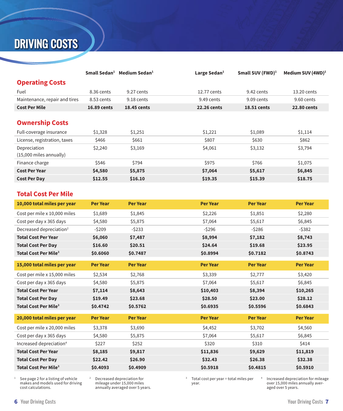## DRIVING COSTS

|                                         | Small Sedan <sup>1</sup> | Medium Sedan <sup>1</sup> | Large Sedan $1$    | Small SUV (FWD) $1$ | Medium SUV $(4WD)^1$ |
|-----------------------------------------|--------------------------|---------------------------|--------------------|---------------------|----------------------|
| <b>Operating Costs</b>                  |                          |                           |                    |                     |                      |
| Fuel                                    | 8.36 cents               | 9.27 cents                | 12.77 cents        | 9.42 cents          | 13.20 cents          |
| Maintenance, repair and tires           | 8.53 cents               | 9.18 cents                | 9.49 cents         | 9.09 cents          | 9.60 cents           |
| <b>Cost Per Mile</b>                    | <b>16.89 cents</b>       | <b>18.45 cents</b>        | <b>22.26 cents</b> | <b>18.51 cents</b>  | <b>22.80 cents</b>   |
| <b>Ownership Costs</b>                  |                          |                           |                    |                     |                      |
| Full-coverage insurance                 | \$1,328                  | \$1,251                   | \$1,221            | \$1,089             | \$1,114              |
| License, registration, taxes            | \$466                    | \$661                     | \$807              | \$630               | \$862                |
| Depreciation<br>(15,000 miles annually) | \$2,240                  | \$3,169                   | \$4,061            | \$3,132             | \$3,794              |
| Finance charge                          | \$546                    | \$794                     | \$975              | \$766               | \$1,075              |
| <b>Cost Per Year</b>                    | \$4,580                  | \$5,875                   | \$7,064            | \$5,617             | \$6,845              |
| <b>Cost Per Day</b>                     | \$12.55                  | \$16.10                   | \$19.35            | \$15.39             | \$18.75              |

#### **Total Cost Per Mile**

| 10,000 total miles per year            | <b>Per Year</b> | <b>Per Year</b> | <b>Per Year</b> | <b>Per Year</b> | <b>Per Year</b> |
|----------------------------------------|-----------------|-----------------|-----------------|-----------------|-----------------|
| Cost per mile x 10,000 miles           | \$1,689         | \$1,845         | \$2,226         | \$1,851         | \$2,280         |
| Cost per day x 365 days                | \$4,580         | \$5,875         | \$7,064         | \$5,617         | \$6,845         |
| Decreased depreciation <sup>2</sup>    | $-5209$         | $-5233$         | $-5296$         | $-5286$         | $-5382$         |
| <b>Total Cost Per Year</b>             | \$6,060         | \$7,487         | \$8,994         | \$7,182         | \$8,743         |
| <b>Total Cost Per Day</b>              | \$16.60         | \$20.51         | \$24.64         | \$19.68         | \$23.95         |
| <b>Total Cost Per Mile<sup>3</sup></b> | \$0.6060        | \$0.7487        | \$0.8994        | \$0.7182        | \$0.8743        |
| 15,000 total miles per year            | <b>Per Year</b> | <b>Per Year</b> | <b>Per Year</b> | <b>Per Year</b> | <b>Per Year</b> |
| Cost per mile x 15,000 miles           | \$2,534         | \$2,768         | \$3,339         | \$2,777         | \$3,420         |
| Cost per day x 365 days                | \$4,580         | \$5,875         | \$7,064         | \$5,617         | \$6,845         |
| <b>Total Cost Per Year</b>             | \$7,114         | \$8,643         | \$10,403        | \$8,394         | \$10,265        |
| <b>Total Cost Per Day</b>              | \$19.49         | \$23.68         | \$28.50         | \$23.00         | \$28.12         |
| <b>Total Cost Per Mile<sup>3</sup></b> | \$0.4742        | \$0.5762        | \$0.6935        | \$0.5596        | \$0.6843        |
| 20,000 total miles per year            | <b>Per Year</b> | <b>Per Year</b> | <b>Per Year</b> | <b>Per Year</b> | <b>Per Year</b> |
| Cost per mile x 20,000 miles           | \$3,378         | \$3,690         | \$4,452         | \$3,702         | \$4,560         |
| Cost per day x 365 days                | \$4,580         | \$5,875         | \$7,064         | \$5,617         | \$6,845         |
| Increased depreciation <sup>4</sup>    | \$227           | \$252           | \$320           | \$310           | \$414           |
| <b>Total Cost Per Year</b>             | \$8,185         | \$9,817         | \$11,836        | \$9,629         | \$11,819        |
| <b>Total Cost Per Day</b>              | \$22.42         | \$26.90         | \$32.43         | \$26.38         | \$32.38         |
| <b>Total Cost Per Mile<sup>3</sup></b> | \$0.4093        | \$0.4909        | \$0.5918        | \$0.4815        | \$0.5910        |

1 See page 2 for a listing of vehicle makes and models used for driving cost calculations.

 Decreased depreciation for mileage under 15,000 miles annually averaged over 5 years.

2

3 Total cost per year ÷ total miles per year.

4 Increased depreciation for mileage over 15,000 miles annually averaged over 5 years.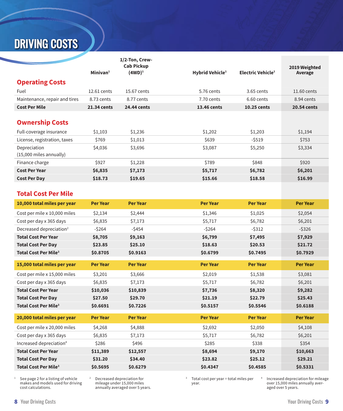# DRIVING COSTS

|                               |                      | 1/2-Ton, Crew-<br><b>Cab Pickup</b> |                             |                               |                          |
|-------------------------------|----------------------|-------------------------------------|-----------------------------|-------------------------------|--------------------------|
|                               | Minivan <sup>1</sup> | $(4WD)^1$                           | Hybrid Vehicle <sup>1</sup> | Electric Vehicle <sup>1</sup> | 2019 Weighted<br>Average |
| <b>Operating Costs</b>        |                      |                                     |                             |                               |                          |
| Fuel                          | 12.61 cents          | 15.67 cents                         | 5.76 cents                  | $3.65$ cents                  | 11.60 cents              |
| Maintenance, repair and tires | 8.73 cents           | 8.77 cents                          | 7.70 cents                  | 6.60 cents                    | 8.94 cents               |
| <b>Cost Per Mile</b>          | 21.34 cents          | 24.44 cents                         | 13.46 cents                 | 10.25 cents                   | 20.54 cents              |
|                               |                      |                                     |                             |                               |                          |
| <b>Ownership Costs</b>        |                      |                                     |                             |                               |                          |
| Full-coverage insurance       | \$1,103              | \$1,236                             | \$1,202                     | \$1,203                       | \$1,194                  |
| License, registration, taxes  | \$769                | \$1,013                             | \$639                       | $-5519$                       | \$753                    |
| Depreciation                  | \$4,036              | \$3,696                             | \$3,087                     | \$5,250                       | \$3,334                  |
| $(15,000$ miles annually)     |                      |                                     |                             |                               |                          |
| Finance charge                | \$927                | \$1,228                             | \$789                       | \$848                         | \$920                    |
| <b>Cost Per Year</b>          | \$6,835              | \$7,173                             | \$5,717                     | \$6,782                       | \$6,201                  |
| <b>Cost Per Day</b>           | \$18.73              | \$19.65                             | \$15.66                     | \$18.58                       | \$16.99                  |

### **Total Cost Per Mile**

| Maintenance, repair and tires          | 8.73 cents      | 8.77 cents      | 7.70 cents      | 6.60 cents      | 8.94 cents      |
|----------------------------------------|-----------------|-----------------|-----------------|-----------------|-----------------|
| <b>Cost Per Mile</b>                   | 21.34 cents     | 24.44 cents     | 13.46 cents     | 10.25 cents     | 20.54 cents     |
|                                        |                 |                 |                 |                 |                 |
| <b>Ownership Costs</b>                 |                 |                 |                 |                 |                 |
| Full-coverage insurance                | \$1,103         | \$1,236         | \$1,202         | \$1,203         | \$1,194         |
| License, registration, taxes           | \$769           | \$1,013         | \$639           | $-5519$         | \$753           |
| Depreciation                           | \$4,036         | \$3,696         | \$3,087         | \$5,250         | \$3,334         |
| (15,000 miles annually)                |                 |                 |                 |                 |                 |
| Finance charge                         | \$927           | \$1,228         | \$789           | \$848           | \$920           |
| <b>Cost Per Year</b>                   | \$6,835         | \$7,173         | \$5,717         | \$6,782         | \$6,201         |
| <b>Cost Per Day</b>                    | \$18.73         | \$19.65         | \$15.66         | \$18.58         | \$16.99         |
|                                        |                 |                 |                 |                 |                 |
| <b>Total Cost Per Mile</b>             |                 |                 |                 |                 |                 |
| 10,000 total miles per year            | Per Year        | <b>Per Year</b> | <b>Per Year</b> | <b>Per Year</b> | <b>Per Year</b> |
| Cost per mile x 10,000 miles           | \$2,134         | \$2,444         | \$1,346         | \$1,025         | \$2,054         |
| Cost per day x 365 days                | \$6,835         | \$7,173         | \$5,717         | \$6,782         | \$6,201         |
| Decreased depreciation <sup>2</sup>    | $-5264$         | $-5454$         | $-5264$         | $-5312$         | $-$ \$326       |
| <b>Total Cost Per Year</b>             | \$8,705         | \$9,163         | \$6,799         | \$7,495         | \$7,929         |
| <b>Total Cost Per Day</b>              | \$23.85         | \$25.10         | \$18.63         | \$20.53         | \$21.72         |
| <b>Total Cost Per Mile<sup>3</sup></b> | \$0.8705        | \$0.9163        | \$0.6799        | \$0.7495        | \$0.7929        |
| 15,000 total miles per year            | Per Year        | <b>Per Year</b> | <b>Per Year</b> | <b>Per Year</b> | <b>Per Year</b> |
| Cost per mile x 15,000 miles           | \$3,201         | \$3,666         | \$2,019         | \$1,538         | \$3,081         |
| Cost per day x 365 days                | \$6,835         | \$7,173         | \$5,717         | \$6,782         | \$6,201         |
| <b>Total Cost Per Year</b>             | \$10,036        | \$10,839        | \$7,736         | \$8,320         | \$9,282         |
| <b>Total Cost Per Day</b>              | \$27.50         | \$29.70         | \$21.19         | \$22.79         | \$25.43         |
| <b>Total Cost Per Mile<sup>3</sup></b> | \$0.6691        | \$0.7226        | \$0.5157        | \$0.5546        | \$0.6188        |
| 20,000 total miles per year            | <b>Per Year</b> | <b>Per Year</b> | <b>Per Year</b> | <b>Per Year</b> | <b>Per Year</b> |
| Cost per mile x 20,000 miles           | \$4,268         | \$4,888         | \$2,692         | \$2,050         | \$4,108         |
| Cost per day x 365 days                | \$6,835         | \$7,173         | \$5,717         | \$6,782         | \$6,201         |
| Increased depreciation <sup>4</sup>    | \$286           | \$496           | \$285           | \$338           | \$354           |
| <b>Total Cost Per Year</b>             | \$11,389        | \$12,557        | \$8,694         | \$9,170         | \$10,663        |
| <b>Total Cost Per Day</b>              | \$31.20         | \$34.40         | \$23.82         | \$25.12         | \$29.21         |
| Total Cost Per Mile <sup>3</sup>       | \$0.5695        | \$0.6279        | \$0.4347        | \$0.4585        | \$0.5331        |

1 See page 2 for a listing of vehicle makes and models used for driving cost calculations.

2 Decreased depreciation for mileage under 15,000 miles annually averaged over 5 years.

3 Total cost per year ÷ total miles per year.

4 Increased depreciation for mileage over 15,000 miles annually averaged over 5 years.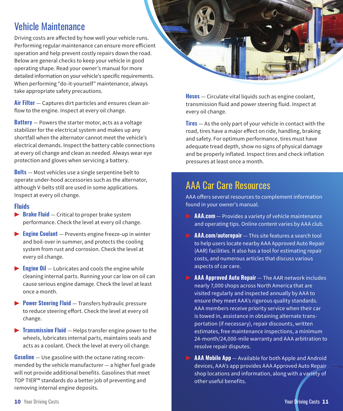## Vehicle Maintenance

Driving costs are affected by how well your vehicle runs. Performing regular maintenance can ensure more efficient operation and help prevent costly repairs down the road. Below are general checks to keep your vehicle in good operating shape. Read your owner's manual for more detailed information on your vehicle's specific requirements. When performing "do-it-yourself" maintenance, always take appropriate safety precautions.

**Air Filter** — Captures dirt particles and ensures clean airflow to the engine. Inspect at every oil change.

**Battery** — Powers the starter motor, acts as a voltage stabilizer for the electrical system and makes up any shortfall when the alternator cannot meet the vehicle's electrical demands. Inspect the battery cable connections at every oil change and clean as needed. Always wear eye protection and gloves when servicing a battery.

**Belts** — Most vehicles use a single serpentine belt to operate under-hood accessories such as the alternator, although V-belts still are used in some applications. Inspect at every oil change.

#### **Fluids**

- ▶ **Brake Fluid** Critical to proper brake system performance. Check the level at every oil change.
- ▶ **Engine Coolant**  Prevents engine freeze-up in winter and boil-over in summer, and protects the cooling system from rust and corrosion. Check the level at every oil change.
- ▶ **Engine Oil** Lubricates and cools the engine while cleaning internal parts. Running your car low on oil can cause serious engine damage. Check the level at least once a month.
- ▶ **Power Steering Fluid** Transfers hydraulic pressure to reduce steering effort. Check the level at every oil change.
- ▶ **Transmission Fluid**  Helps transfer engine power to the wheels, lubricates internal parts, maintains seals and acts as a coolant. Check the level at every oil change.

**Gasoline** — Use gasoline with the octane rating recommended by the vehicle manufacturer — a higher fuel grade will not provide additional benefits. Gasolines that meet TOP TIER™ standards do a better job of preventing and removing internal engine deposits.



**Hoses** — Circulate vital liquids such as engine coolant, transmission fluid and power steering fluid. Inspect at every oil change.

**Tires** — As the only part of your vehicle in contact with the road, tires have a major effect on ride, handling, braking and safety. For optimum performance, tires must have adequate tread depth, show no signs of physical damage and be properly inflated. Inspect tires and check inflation pressures at least once a month.

## AAA Car Care Resources

AAA offers several resources to complement information found in your owner's manual.

- ▶ **AAA.com** Provides a variety of vehicle maintenance and operating tips. Online content varies by AAA club.
- ▶ **AAA.com/autorepair** This site features a search tool to help users locate nearby AAA Approved Auto Repair (AAR) facilities. It also has a tool for estimating repair costs, and numerous articles that discuss various aspects of car care.
- ▶ **AAA Approved Auto Repair** The AAR network includes nearly 7,000 shops across North America that are visited regularly and inspected annually by AAA to ensure they meet AAA's rigorous quality standards. AAA members receive priority service when their car is towed in, assistance in obtaining alternate transportation (if necessary), repair discounts, written estimates, free maintenance inspections, a minimum 24-month/24,000-mile warranty and AAA arbitration to resolve repair disputes.
- **AAA Mobile App** Available for both Apple and Android devices, AAA's app provides AAA Approved Auto Repair shop locations and information, along with a variety of other useful benefits.